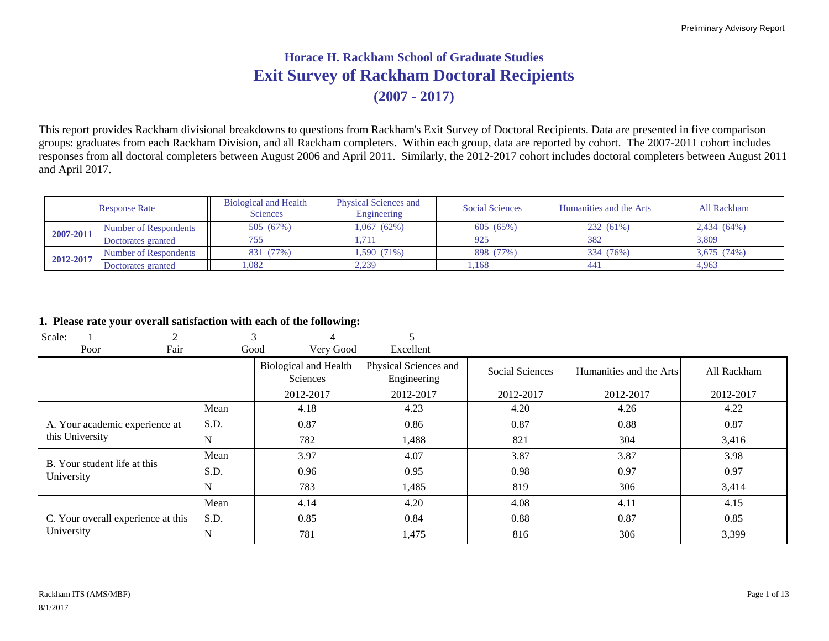# **Exit Survey of Rackham Doctoral Recipients Horace H. Rackham School of Graduate Studies(2007 - 2017)**

This report provides Rackham divisional breakdowns to questions from Rackham's Exit Survey of Doctoral Recipients. Data are presented in five comparison groups: graduates from each Rackham Division, and all Rackham completers. Within each group, data are reported by cohort. The 2007-2011 cohort includes responses from all doctoral completers between August 2006 and April 2011. Similarly, the 2012-2017 cohort includes doctoral completers between August 2011 and April 2017.

|           | <b>Response Rate</b>  | <b>Biological and Health</b><br><b>Sciences</b> | <b>Physical Sciences and</b><br>Engineering | <b>Social Sciences</b> | Humanities and the Arts | All Rackham |
|-----------|-----------------------|-------------------------------------------------|---------------------------------------------|------------------------|-------------------------|-------------|
|           | Number of Respondents | 505 (67%)                                       | 1.067 (62%)                                 | 605 (65%)              | 232 (61%)               | 2,434 (64%) |
| 2007-2011 | Doctorates granted    | 755                                             |                                             | 925                    | 382                     | 3.809       |
|           | Number of Respondents | 831 (77%)                                       | 1,590 (71%)                                 | 898 (77%)              | 334 (76%)               | 3.675 (74%) |
| 2012-2017 | Doctorates granted    | .082                                            | 2,239                                       | ,168                   | 441                     | 4.963       |

#### **1. Please rate your overall satisfaction with each of the following:**

| Scale:                             | ◠    |             |                                          |                                      |                 |                         |             |
|------------------------------------|------|-------------|------------------------------------------|--------------------------------------|-----------------|-------------------------|-------------|
| Poor                               | Fair |             | Very Good<br>Good                        | Excellent                            |                 |                         |             |
|                                    |      |             | <b>Biological and Health</b><br>Sciences | Physical Sciences and<br>Engineering | Social Sciences | Humanities and the Arts | All Rackham |
|                                    |      |             | 2012-2017                                | 2012-2017                            | 2012-2017       | 2012-2017               | 2012-2017   |
|                                    |      | Mean        | 4.18                                     | 4.23                                 | 4.20            | 4.26                    | 4.22        |
| A. Your academic experience at     |      | S.D.        | 0.87                                     | 0.86                                 | 0.87            | 0.88                    | 0.87        |
| this University                    |      | N           | 782                                      | 1,488                                | 821             | 304                     | 3,416       |
| B. Your student life at this       |      | Mean        | 3.97                                     | 4.07                                 | 3.87            | 3.87                    | 3.98        |
| University                         |      | S.D.        | 0.96                                     | 0.95                                 | 0.98            | 0.97                    | 0.97        |
|                                    |      | N           | 783                                      | 1,485                                | 819             | 306                     | 3,414       |
|                                    |      | Mean        | 4.14                                     | 4.20                                 | 4.08            | 4.11                    | 4.15        |
| C. Your overall experience at this |      | S.D.        | 0.85                                     | 0.84                                 | 0.88            | 0.87                    | 0.85        |
| University                         |      | $\mathbf N$ | 781                                      | 1,475                                | 816             | 306                     | 3,399       |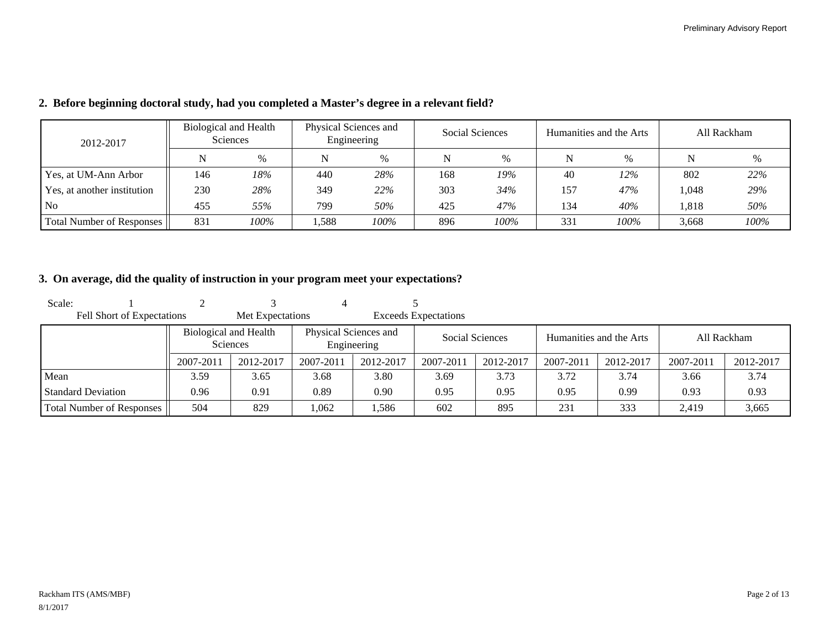| 2012-2017                   |     | Biological and Health<br><b>Sciences</b> | Physical Sciences and<br>Engineering |      |     | Social Sciences |     | Humanities and the Arts | All Rackham |      |  |
|-----------------------------|-----|------------------------------------------|--------------------------------------|------|-----|-----------------|-----|-------------------------|-------------|------|--|
|                             | N   | $\%$                                     | N                                    | %    | N   | %               | N   | $\frac{0}{0}$           |             | %    |  |
| Yes, at UM-Ann Arbor        | 146 | 18%                                      | 440                                  | 28%  | 168 | 19%             | 40  | 12%                     | 802         | 22%  |  |
| Yes, at another institution | 230 | 28%                                      | 349                                  | 22%  | 303 | 34%             | 157 | 47%                     | 1.048       | 29%  |  |
| N <sub>0</sub>              | 455 | 55%                                      | 799                                  | 50%  | 425 | 47%             | 134 | 40%                     | .818        | 50%  |  |
| Total Number of Responses   | 831 | 100%                                     | .,588                                | 100% | 896 | 100%            | 331 | 100%                    | 3,668       | 100% |  |

#### **2. Before beginning doctoral study, had you completed a Master's degree in a relevant field?**

## **3. On average, did the quality of instruction in your program meet your expectations?**

| Scale:                           |                       |                  |                       |             |                             |           |           |                         |           |             |
|----------------------------------|-----------------------|------------------|-----------------------|-------------|-----------------------------|-----------|-----------|-------------------------|-----------|-------------|
| Fell Short of Expectations       |                       | Met Expectations |                       |             | <b>Exceeds Expectations</b> |           |           |                         |           |             |
|                                  | Biological and Health | <b>Sciences</b>  | Physical Sciences and | Engineering | <b>Social Sciences</b>      |           |           | Humanities and the Arts |           | All Rackham |
|                                  | 2007-2011             | 2012-2017        | 2007-2011             | 2012-2017   | 2007-2011                   | 2012-2017 | 2007-2011 | 2012-2017               | 2007-2011 | 2012-2017   |
| Mean                             | 3.59                  | 3.65             | 3.68                  | 3.80        | 3.69                        | 3.73      | 3.72      | 3.74                    | 3.66      | 3.74        |
| <b>Standard Deviation</b>        | 0.96                  | 0.91             | 0.89                  | 0.90        | 0.95                        | 0.95      | 0.95      | 0.99                    | 0.93      | 0.93        |
| <b>Total Number of Responses</b> | 504                   | 829              | 1,062                 | .586        | 602                         | 895       | 231       | 333                     | 2.419     | 3,665       |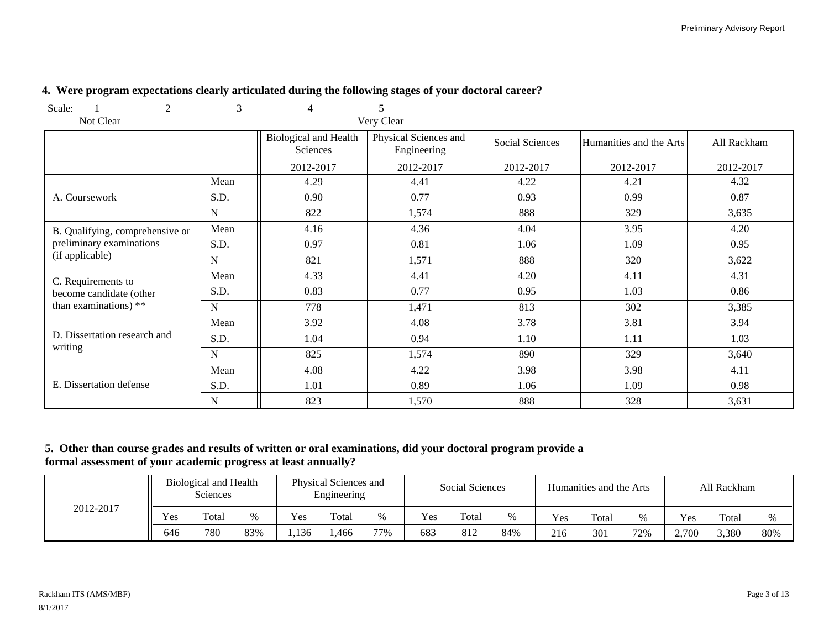| Scale:<br>2                     | 3           | 4                                        | 5                                    |                 |                         |             |
|---------------------------------|-------------|------------------------------------------|--------------------------------------|-----------------|-------------------------|-------------|
| Not Clear                       |             |                                          | Very Clear                           |                 |                         |             |
|                                 |             | <b>Biological and Health</b><br>Sciences | Physical Sciences and<br>Engineering | Social Sciences | Humanities and the Arts | All Rackham |
|                                 |             | 2012-2017                                | 2012-2017                            | 2012-2017       | 2012-2017               | 2012-2017   |
|                                 | Mean        | 4.29                                     | 4.41                                 | 4.22            | 4.21                    | 4.32        |
| A. Coursework                   | S.D.        | 0.90                                     | 0.77                                 | 0.93            | 0.99                    | 0.87        |
|                                 | $\mathbf N$ | 822                                      | 1,574                                | 888             | 329                     | 3,635       |
| B. Qualifying, comprehensive or | Mean        | 4.16                                     | 4.36                                 | 4.04            | 3.95                    | 4.20        |
| preliminary examinations        | S.D.        | 0.97                                     | 0.81                                 | 1.06            | 1.09                    | 0.95        |
| (if applicable)                 | $\mathbf N$ | 821                                      | 1,571                                | 888             | 320                     | 3,622       |
| C. Requirements to              | Mean        | 4.33                                     | 4.41                                 | 4.20            | 4.11                    | 4.31        |
| become candidate (other         | S.D.        | 0.83                                     | 0.77                                 | 0.95            | 1.03                    | 0.86        |
| than examinations) **           | ${\bf N}$   | 778                                      | 1,471                                | 813             | 302                     | 3,385       |
|                                 | Mean        | 3.92                                     | 4.08                                 | 3.78            | 3.81                    | 3.94        |
| D. Dissertation research and    | S.D.        | 1.04                                     | 0.94                                 | 1.10            | 1.11                    | 1.03        |
| writing                         | $\mathbf N$ | 825                                      | 1,574                                | 890             | 329                     | 3,640       |
|                                 | Mean        | 4.08                                     | 4.22                                 | 3.98            | 3.98                    | 4.11        |
| E. Dissertation defense         | S.D.        | 1.01                                     | 0.89                                 | 1.06            | 1.09                    | 0.98        |
|                                 | N           | 823                                      | 1,570                                | 888             | 328                     | 3,631       |

## **4. Were program expectations clearly articulated during the following stages of your doctoral career?**

## **5. Other than course grades and results of written or oral examinations, did your doctoral program provide a formal assessment of your academic progress at least annually?**

|           |     | <b>Biological and Health</b><br><b>Sciences</b> |     | Physical Sciences and<br>Engineering |       |      | Social Sciences |       |     |     | Humanities and the Arts |     | All Rackham |       |     |
|-----------|-----|-------------------------------------------------|-----|--------------------------------------|-------|------|-----------------|-------|-----|-----|-------------------------|-----|-------------|-------|-----|
| 2012-2017 | Yes | Total                                           |     | Yes                                  | Total | $\%$ | Yes             | Total |     | Yes | Total                   | %   | Yes         | Total |     |
|           | 646 | 780                                             | 83% | .136                                 | ,466  | 77%  | 683             | 812   | 84% | 216 | 301                     | 72% | 2,700       | 3,380 | 80% |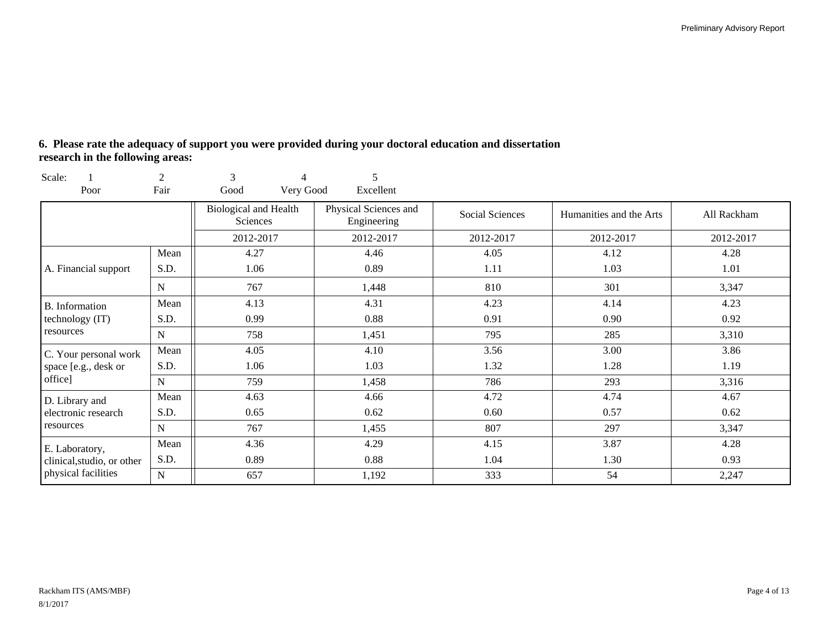## **6. Please rate the adequacy of support you were provided during your doctoral education and dissertation research in the following areas:**

| Scale:                     | 2           | 3<br>4                                   | 5                                    |                 |                         |             |  |
|----------------------------|-------------|------------------------------------------|--------------------------------------|-----------------|-------------------------|-------------|--|
| Poor                       | Fair        | Good<br>Very Good                        | Excellent                            |                 |                         |             |  |
|                            |             | <b>Biological and Health</b><br>Sciences | Physical Sciences and<br>Engineering | Social Sciences | Humanities and the Arts | All Rackham |  |
|                            |             | 2012-2017                                | 2012-2017                            | 2012-2017       | 2012-2017               | 2012-2017   |  |
|                            | Mean        | 4.27                                     | 4.46                                 | 4.05            | 4.12                    | 4.28        |  |
| A. Financial support       | S.D.        | 1.06                                     | 0.89                                 | 1.11            | 1.03                    | 1.01        |  |
|                            | N           | 767                                      | 1,448                                | 810             | 301                     | 3,347       |  |
| B. Information             | Mean        | 4.13                                     | 4.31                                 | 4.23            | 4.14                    | 4.23        |  |
| technology (IT)            | S.D.        | 0.99                                     | 0.88                                 | 0.91            | 0.90                    | 0.92        |  |
| resources                  | N           | 758                                      | 1,451                                | 795             | 285                     | 3,310       |  |
| C. Your personal work      | Mean        | 4.05                                     | 4.10                                 | 3.56            | 3.00                    | 3.86        |  |
| space [e.g., desk or       | S.D.        | 1.06                                     | 1.03                                 | 1.32            | 1.28                    | 1.19        |  |
| office]                    | $\mathbf N$ | 759                                      | 1,458                                | 786             | 293                     | 3,316       |  |
| D. Library and             | Mean        | 4.63                                     | 4.66                                 | 4.72            | 4.74                    | 4.67        |  |
| electronic research        | S.D.        | 0.65                                     | 0.62                                 | 0.60            | 0.57                    | 0.62        |  |
| resources                  | N           | 767                                      | 1,455                                | 807             | 297                     | 3,347       |  |
| E. Laboratory,             | Mean        | 4.36                                     | 4.29                                 | 4.15            | 3.87                    | 4.28        |  |
| clinical, studio, or other | S.D.        | 0.89                                     | 0.88                                 | 1.04            | 1.30                    | 0.93        |  |
| physical facilities        | ${\bf N}$   | 657                                      | 1,192                                | 333             | 54                      | 2,247       |  |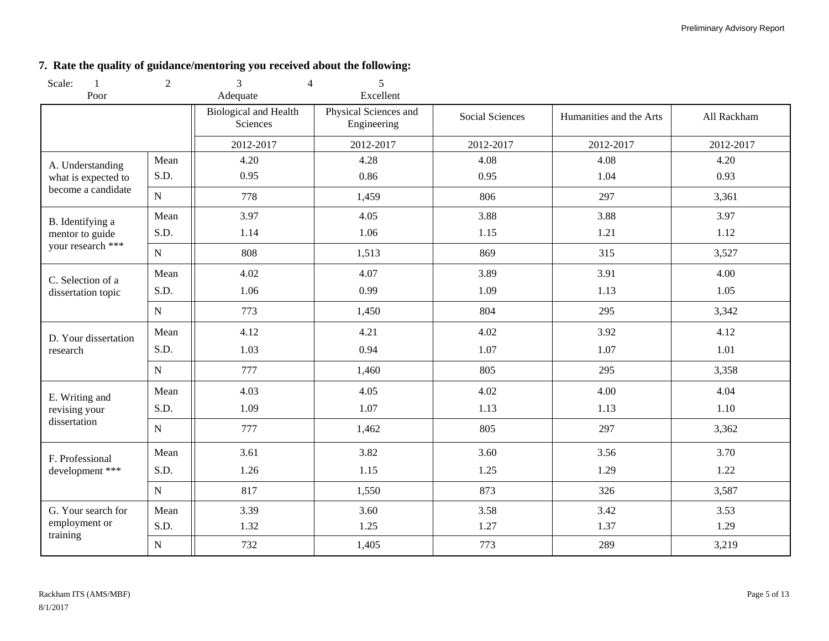## **7. Rate the quality of guidance/mentoring you received about the following:**

| Scale:<br>-1         | 2           | 3<br>4                                   | 5                                    |                        |                         |             |
|----------------------|-------------|------------------------------------------|--------------------------------------|------------------------|-------------------------|-------------|
| Poor                 |             | Adequate                                 | Excellent                            |                        |                         |             |
|                      |             | <b>Biological and Health</b><br>Sciences | Physical Sciences and<br>Engineering | <b>Social Sciences</b> | Humanities and the Arts | All Rackham |
|                      |             | 2012-2017                                | 2012-2017                            | 2012-2017              | 2012-2017               | 2012-2017   |
| A. Understanding     | Mean        | 4.20                                     | 4.28                                 | 4.08                   | 4.08                    | 4.20        |
| what is expected to  | S.D.        | 0.95                                     | 0.86                                 | 0.95                   | 1.04                    | 0.93        |
| become a candidate   | ${\bf N}$   | 778                                      | 1,459                                | 806                    | 297                     | 3,361       |
| B. Identifying a     | Mean        | 3.97                                     | 4.05                                 | 3.88                   | 3.88                    | 3.97        |
| mentor to guide      | S.D.        | 1.14                                     | 1.06                                 | 1.15                   | 1.21                    | 1.12        |
| your research ***    | ${\bf N}$   | 808                                      | 1,513                                | 869                    | 315                     | 3,527       |
| C. Selection of a    | Mean        | 4.02                                     | 4.07                                 | 3.89                   | 3.91                    | 4.00        |
| dissertation topic   | S.D.        | 1.06                                     | 0.99                                 | 1.09                   | 1.13                    | 1.05        |
|                      | ${\bf N}$   | 773                                      | 1,450                                | 804                    | 295                     | 3,342       |
| D. Your dissertation | Mean        | 4.12                                     | 4.21                                 | 4.02                   | 3.92                    | 4.12        |
| research             | S.D.        | 1.03                                     | 0.94                                 | 1.07                   | 1.07                    | 1.01        |
|                      | ${\bf N}$   | 777                                      | 1,460                                | 805                    | 295                     | 3,358       |
| E. Writing and       | Mean        | 4.03                                     | 4.05                                 | 4.02                   | 4.00                    | 4.04        |
| revising your        | S.D.        | 1.09                                     | 1.07                                 | 1.13                   | 1.13                    | 1.10        |
| dissertation         | $\mathbf N$ | 777                                      | 1,462                                | 805                    | 297                     | 3,362       |
| F. Professional      | Mean        | 3.61                                     | 3.82                                 | 3.60                   | 3.56                    | 3.70        |
| development ***      | S.D.        | 1.26                                     | 1.15                                 | 1.25                   | 1.29                    | 1.22        |
|                      | ${\bf N}$   | 817                                      | 1,550                                | 873                    | 326                     | 3,587       |
| G. Your search for   | Mean        | 3.39                                     | 3.60                                 | 3.58                   | 3.42                    | 3.53        |
| employment or        | S.D.        | 1.32                                     | 1.25                                 | 1.27                   | 1.37                    | 1.29        |
| training             | ${\bf N}$   | 732                                      | 1,405                                | 773                    | 289                     | 3,219       |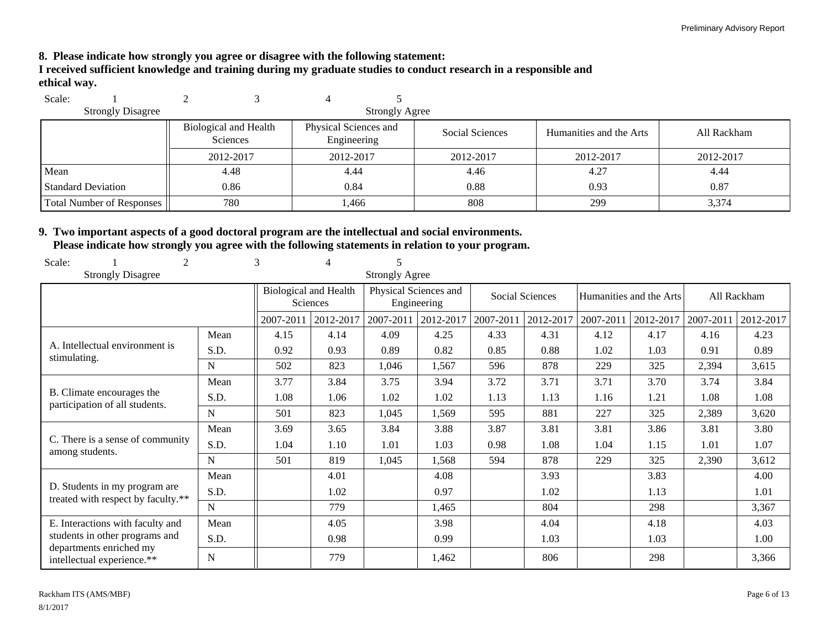**8. Please indicate how strongly you agree or disagree with the following statement:**

**I received sufficient knowledge and training during my graduate studies to conduct research in a responsible and ethical way.**

| Scale:                    |                                          |                                      |                       |                 |                         |             |
|---------------------------|------------------------------------------|--------------------------------------|-----------------------|-----------------|-------------------------|-------------|
| <b>Strongly Disagree</b>  |                                          |                                      | <b>Strongly Agree</b> |                 |                         |             |
|                           | Biological and Health<br><b>Sciences</b> | Physical Sciences and<br>Engineering |                       | Social Sciences | Humanities and the Arts | All Rackham |
|                           | 2012-2017                                | 2012-2017                            |                       | 2012-2017       | 2012-2017               | 2012-2017   |
| Mean                      | 4.48                                     | 4.44                                 |                       | 4.46            | 4.27                    | 4.44        |
| <b>Standard Deviation</b> | 0.86                                     | 0.84                                 |                       | 0.88            | 0.93                    | 0.87        |
| Total Number of Responses | 780                                      | 1,466                                |                       | 808             | 299                     | 3,374       |

## **9. Two important aspects of a good doctoral program are the intellectual and social environments. Please indicate how strongly you agree with the following statements in relation to your program.**

| Scale:<br>2                                                         |      | 3                                               | 4         |                                      |           |                 |           |           |                         |           |             |
|---------------------------------------------------------------------|------|-------------------------------------------------|-----------|--------------------------------------|-----------|-----------------|-----------|-----------|-------------------------|-----------|-------------|
| <b>Strongly Disagree</b>                                            |      |                                                 |           | <b>Strongly Agree</b>                |           |                 |           |           |                         |           |             |
|                                                                     |      | <b>Biological and Health</b><br><b>Sciences</b> |           | Physical Sciences and<br>Engineering |           | Social Sciences |           |           | Humanities and the Arts |           | All Rackham |
|                                                                     |      | 2007-2011                                       | 2012-2017 | 2007-2011                            | 2012-2017 | 2007-2011       | 2012-2017 | 2007-2011 | 2012-2017               | 2007-2011 | 2012-2017   |
|                                                                     | Mean | 4.15                                            | 4.14      | 4.09                                 | 4.25      | 4.33            | 4.31      | 4.12      | 4.17                    | 4.16      | 4.23        |
| A. Intellectual environment is<br>stimulating.                      | S.D. | 0.92                                            | 0.93      | 0.89                                 | 0.82      | 0.85            | 0.88      | 1.02      | 1.03                    | 0.91      | 0.89        |
|                                                                     | N    | 502                                             | 823       | 1,046                                | 1,567     | 596             | 878       | 229       | 325                     | 2,394     | 3,615       |
|                                                                     | Mean | 3.77                                            | 3.84      | 3.75                                 | 3.94      | 3.72            | 3.71      | 3.71      | 3.70                    | 3.74      | 3.84        |
| B. Climate encourages the<br>participation of all students.         | S.D. | 1.08                                            | 1.06      | 1.02                                 | 1.02      | 1.13            | 1.13      | 1.16      | 1.21                    | 1.08      | 1.08        |
|                                                                     | N    | 501                                             | 823       | 1,045                                | 1,569     | 595             | 881       | 227       | 325                     | 2,389     | 3,620       |
|                                                                     | Mean | 3.69                                            | 3.65      | 3.84                                 | 3.88      | 3.87            | 3.81      | 3.81      | 3.86                    | 3.81      | 3.80        |
| C. There is a sense of community<br>among students.                 | S.D. | 1.04                                            | 1.10      | 1.01                                 | 1.03      | 0.98            | 1.08      | 1.04      | 1.15                    | 1.01      | 1.07        |
|                                                                     | N    | 501                                             | 819       | 1,045                                | 1,568     | 594             | 878       | 229       | 325                     | 2,390     | 3,612       |
|                                                                     | Mean |                                                 | 4.01      |                                      | 4.08      |                 | 3.93      |           | 3.83                    |           | 4.00        |
| D. Students in my program are<br>treated with respect by faculty.** | S.D. |                                                 | 1.02      |                                      | 0.97      |                 | 1.02      |           | 1.13                    |           | 1.01        |
|                                                                     | N    |                                                 | 779       |                                      | 1,465     |                 | 804       |           | 298                     |           | 3,367       |
| E. Interactions with faculty and                                    | Mean |                                                 | 4.05      |                                      | 3.98      |                 | 4.04      |           | 4.18                    |           | 4.03        |
| students in other programs and                                      | S.D. |                                                 | 0.98      |                                      | 0.99      |                 | 1.03      |           | 1.03                    |           | 1.00        |
| departments enriched my<br>intellectual experience.**               | N    |                                                 | 779       |                                      | 1,462     |                 | 806       |           | 298                     |           | 3,366       |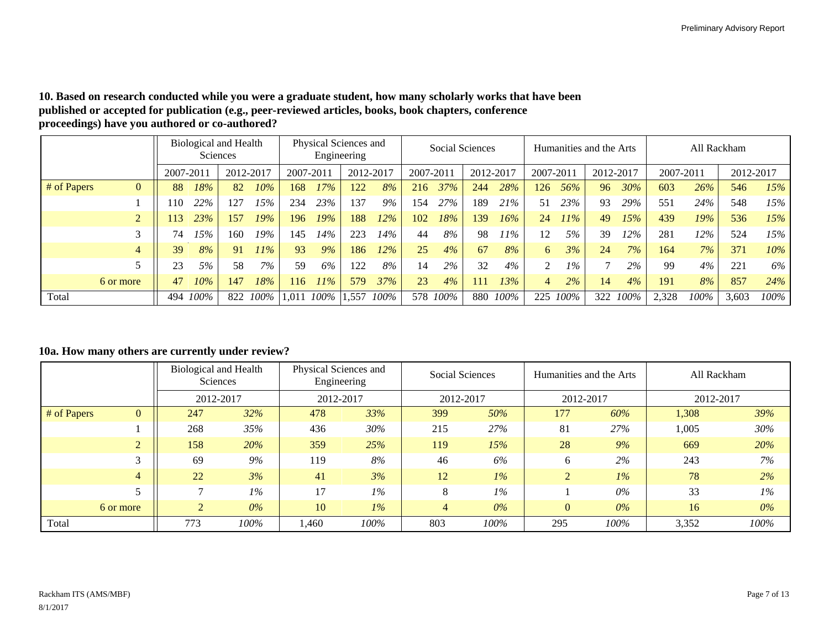#### **10. Based on research conducted while you were a graduate student, how many scholarly works that have been published or accepted for publication (e.g., peer-reviewed articles, books, book chapters, conference proceedings) have you authored or co-authored?**

|                               |              | Biological and Health<br>Sciences |           | Physical Sciences and<br>Engineering |           |        |           | Social Sciences |                        |         | Humanities and the Arts |      |                |      | All Rackham  |      |           |        |       |        |
|-------------------------------|--------------|-----------------------------------|-----------|--------------------------------------|-----------|--------|-----------|-----------------|------------------------|---------|-------------------------|------|----------------|------|--------------|------|-----------|--------|-------|--------|
|                               | $2007 - 201$ |                                   | 2012-2017 |                                      | 2007-2011 |        | 2012-2017 |                 | 2007-2011<br>2012-2017 |         | 2007-2011               |      | 2012-2017      |      | 2007-2011    |      | 2012-2017 |        |       |        |
| # of Papers<br>$\overline{0}$ | 88           | 18%                               | 82        | $10\%$                               | 168       | 17%    | 122       | 8%              | 216                    | 37%     | 244                     | 28%  | 126            | 56%  | 96           | 30%  | 603       | $26\%$ | 546   | 15%    |
|                               | 10           | 22%                               | 127       | 15%                                  | 234       | 23%    | 137       | 9%              | 154                    | 27%     | 189                     | 21%  | 51             | 23%  | 93           | 29%  | 551       | 24%    | 548   | 15%    |
| $\overline{2}$                | 13           | 23%                               | 157       | 19%                                  | 196       | 19%    | 188       | $12\%$          | 102                    | 18%     | 139                     | 16%  | 24             | 11%  | 49           | 15%  | 439       | 19%    | 536   | 15%    |
|                               | 74           | !5%                               | 160       | 19%                                  | 145       | 14%    | 223       | 14%             | 44                     | 8%      | 98                      | 11%  | 12             | 5%   | 39           | !2%  | 281       | 12%    | 524   | 15%    |
| $\overline{4}$                | 39           | 8%                                | 91        | $11\%$                               | 93        | $9\%$  | 186       | $12\%$          | 25                     | 4%      | 67                      | 8%   | 6              | 3%   | 24           | 7%   | 164       | $7\%$  | 371   | $10\%$ |
|                               | 23           | 5%                                | 58        | 7%                                   | 59        | 6%     | 122       | 8%              | 14                     | 2%      | 32                      | 4%   | $\overline{2}$ | 1%   | $\mathbf{r}$ | 2%   | 99        | 4%     | 221   | $6\%$  |
| 6 or more                     | 47           | 10%                               | 147       | 18%                                  | 116       | $11\%$ | 579       | 37%             | 23                     | 4%      | 111                     | 13%  | $\overline{4}$ | 2%   | 14           | 4%   | 191       | 8%     | 857   | 24%    |
| Total                         | 494          | 100%                              | 822       | $100\%$                              | l.011     | 100%   | .557      | 100%            | 578                    | $100\%$ | 880                     | 100% | 225            | 100% | 322          | 100% | 2,328     | 100%   | 3,603 | 100%   |

#### **10a. How many others are currently under review?**

|             |                | Biological and Health<br>Sciences |       | Physical Sciences and<br>Engineering |       | Social Sciences |       | Humanities and the Arts |       | All Rackham |       |
|-------------|----------------|-----------------------------------|-------|--------------------------------------|-------|-----------------|-------|-------------------------|-------|-------------|-------|
|             |                | 2012-2017                         |       | 2012-2017                            |       | 2012-2017       |       | 2012-2017               |       | 2012-2017   |       |
| # of Papers | $\mathbf{0}$   | 32%<br>247                        |       | 478                                  | 33%   | 399             | 50%   | 177                     | 60%   | 1,308       | 39%   |
|             |                | 268                               | 35%   | 436                                  | 30%   | 215             | 27%   | 81                      | 27%   | 1,005       | 30%   |
|             | $\overline{2}$ | 158<br>20%                        |       | 359                                  | 25%   | 119             | 15%   | 28                      | 9%    | 669         | 20%   |
|             | 3              | 69                                | $9\%$ | 119                                  | 8%    | 46              | 6%    | 6                       | 2%    | 243         | 7%    |
|             | 4              | 22                                | 3%    | 41                                   | 3%    | 12              | $1\%$ | $\overline{2}$          | $1\%$ | 78          | 2%    |
|             |                | $1\%$                             |       | 17                                   | $1\%$ | 8               | $1\%$ |                         | $0\%$ | 33          | $1\%$ |
|             | 6 or more      | $0\%$<br>$\overline{2}$           |       | 10                                   | $1\%$ | 4               | $0\%$ | $\overline{0}$          | $0\%$ | 16          | $0\%$ |
| Total       |                | 100%<br>773                       |       | 1.460                                | 100%  | 803             | 100%  | 295                     | 100%  | 3,352       | 100%  |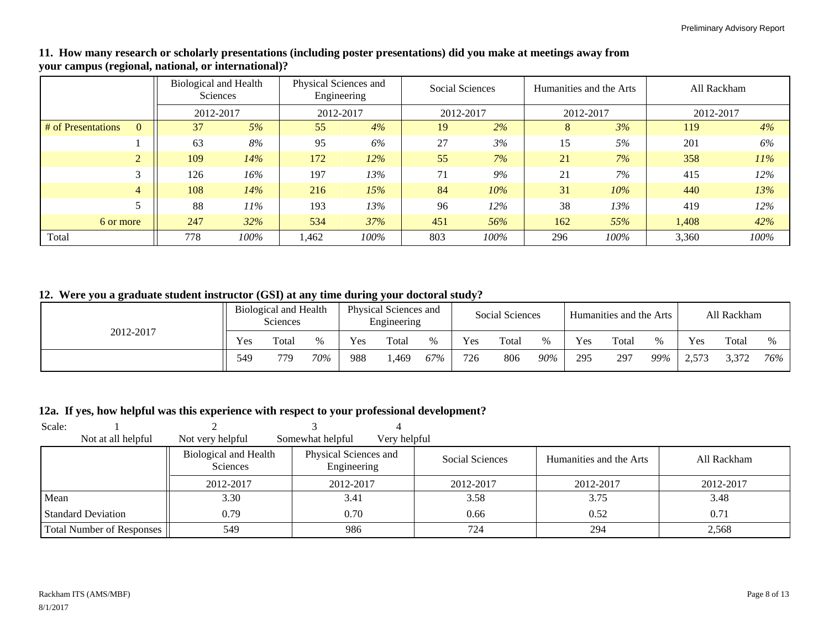#### **11. How many research or scholarly presentations (including poster presentations) did you make at meetings away from your campus (regional, national, or international)?**

|                    | <b>Biological and Health</b><br>Sciences |           |        | Physical Sciences and<br>Engineering |        | Social Sciences |        | Humanities and the Arts |        | All Rackham |      |  |
|--------------------|------------------------------------------|-----------|--------|--------------------------------------|--------|-----------------|--------|-------------------------|--------|-------------|------|--|
|                    |                                          | 2012-2017 |        | 2012-2017                            |        | 2012-2017       |        | 2012-2017               |        | 2012-2017   |      |  |
| # of Presentations |                                          | 37        | 5%     | 55                                   | 4%     | 19              | 2%     | 8                       | 3%     | 119         | 4%   |  |
|                    |                                          | 63        | 8%     | 95                                   | 6%     | 27              | 3%     | 15                      | 5%     | 201         | 6%   |  |
| $\overline{2}$     |                                          | 109       | 14%    | 172                                  | $12\%$ | 55              | 7%     | 21                      | 7%     | 358         | 11%  |  |
| 3                  |                                          | 126       | 16%    | 197                                  | 13%    | 71              | 9%     | 21                      | 7%     | 415         | 12%  |  |
| $\overline{4}$     |                                          | 108       | 14%    | 216                                  | 15%    | 84              | 10%    | 31                      | $10\%$ | 440         | 13%  |  |
|                    |                                          | 88        | $11\%$ | 193                                  | 13%    | 96              | $12\%$ | 38                      | 13%    | 419         | 12%  |  |
| 6 or more          |                                          | 247       | 32%    | 534                                  | 37%    | 451             | 56%    | 162                     | 55%    | 1,408       | 42%  |  |
| Total              |                                          | 778       | 100%   | 1,462                                | 100%   | 803             | 100%   | 296                     | 100%   | 3,360       | 100% |  |

## **12. Were you a graduate student instructor (GSI) at any time during your doctoral study?**

|           | Biological and Health<br>Sciences |       |      | Physical Sciences and<br>Engineering |       | Social Sciences |     |       | Humanities and the Arts |     |       | All Rackham |       |       |      |
|-----------|-----------------------------------|-------|------|--------------------------------------|-------|-----------------|-----|-------|-------------------------|-----|-------|-------------|-------|-------|------|
| 2012-2017 | Yes                               | Total | $\%$ | Yes                                  | Total | $\frac{0}{0}$   | Yes | Total | %                       | Yes | Total | $\%$        | Yes   | Total | $\%$ |
|           | 549                               | 779   | 70%  | 988                                  | ,469  | 67%             | 726 | 806   | 90%                     | 295 | 297   | 99%         | 2,573 | 3.372 | 76%  |

#### **12a. If yes, how helpful was this experience with respect to your professional development?**

| Scale:                           |                                          |                                      |                 |                         |             |
|----------------------------------|------------------------------------------|--------------------------------------|-----------------|-------------------------|-------------|
| Not at all helpful               | Not very helpful                         | Somewhat helpful<br>Very helpful     |                 |                         |             |
|                                  | <b>Biological and Health</b><br>Sciences | Physical Sciences and<br>Engineering | Social Sciences | Humanities and the Arts | All Rackham |
|                                  | 2012-2017                                | 2012-2017                            | 2012-2017       | 2012-2017               | 2012-2017   |
| Mean                             | 3.30                                     | 3.41                                 | 3.58            | 3.75                    | 3.48        |
| <b>Standard Deviation</b>        | 0.79                                     | 0.70                                 | 0.66            | 0.52                    | 0.71        |
| <b>Total Number of Responses</b> | 549                                      | 986                                  | 724             | 294                     | 2,568       |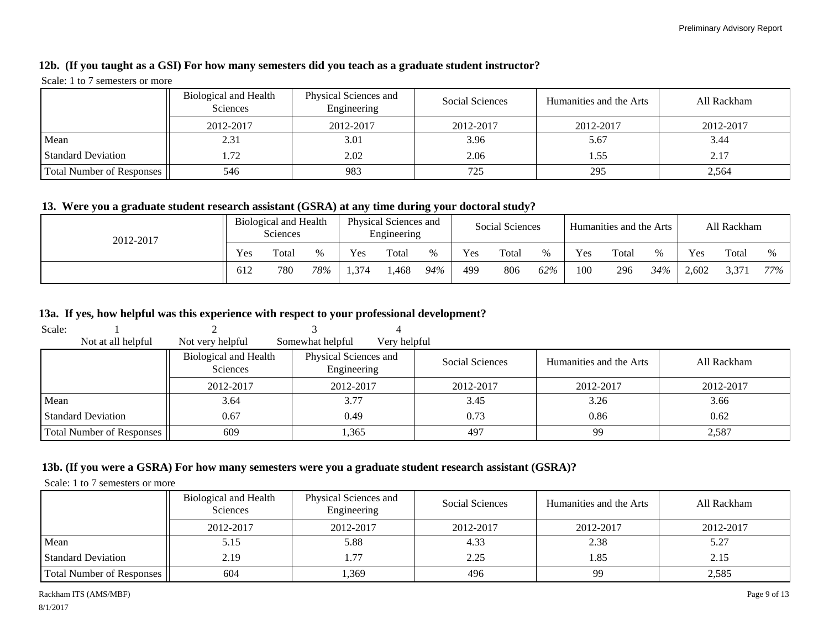#### **12b. (If you taught as a GSI) For how many semesters did you teach as a graduate student instructor?**

#### Scale: 1 to 7 semesters or more

|                           | Biological and Health<br><b>Sciences</b> | Physical Sciences and<br>Engineering | Social Sciences | Humanities and the Arts | All Rackham |
|---------------------------|------------------------------------------|--------------------------------------|-----------------|-------------------------|-------------|
|                           | 2012-2017                                | 2012-2017                            | 2012-2017       | 2012-2017               | 2012-2017   |
| Mean                      | 2.31                                     | 3.01                                 | 3.96            | 5.67                    | 3.44        |
| <b>Standard Deviation</b> | .72                                      | 2.02                                 | 2.06            | 1.55                    | 2.17        |
| Total Number of Responses | 546                                      | 983                                  | 725             | 295                     | 2,564       |

#### **13. Were you a graduate student research assistant (GSRA) at any time during your doctoral study?**

| 2012-2017 | Biological and Health<br>Sciences |       | Physical Sciences and<br>Engineering |     | Social Sciences |     |     | Humanities and the Arts |      |     | All Rackham |      |       |       |      |
|-----------|-----------------------------------|-------|--------------------------------------|-----|-----------------|-----|-----|-------------------------|------|-----|-------------|------|-------|-------|------|
|           | Yes                               | Total | $\%$                                 | Yes | Total           |     | Yes | Total                   | $\%$ | Yes | Total       | $\%$ | Yes   | Total | $\%$ |
|           | 612                               | 780   | 78%                                  | 374 | ,468            | 94% | 499 | 806                     | 62%  | 100 | 296         | 34%  | 2,602 | 3,371 | 77%  |

#### **13a. If yes, how helpful was this experience with respect to your professional development?**

| Scale:                    |                                          |                                      |              |                 |                         |             |
|---------------------------|------------------------------------------|--------------------------------------|--------------|-----------------|-------------------------|-------------|
| Not at all helpful        | Not very helpful                         | Somewhat helpful                     | Very helpful |                 |                         |             |
|                           | Biological and Health<br><b>Sciences</b> | Physical Sciences and<br>Engineering |              | Social Sciences | Humanities and the Arts | All Rackham |
|                           | 2012-2017                                | 2012-2017                            |              | 2012-2017       | 2012-2017               | 2012-2017   |
| Mean                      | 3.64                                     | 3.77                                 |              | 3.45            | 3.26                    | 3.66        |
| <b>Standard Deviation</b> | 0.67                                     | 0.49                                 |              | 0.73            | 0.86                    | 0.62        |
| Total Number of Responses | 609                                      | 1,365                                |              | 497             | 99                      | 2,587       |

#### **13b. (If you were a GSRA) For how many semesters were you a graduate student research assistant (GSRA)?**

Scale: 1 to 7 semesters or more

|                           | Biological and Health<br><b>Sciences</b> | Physical Sciences and<br>Engineering | Social Sciences | Humanities and the Arts | All Rackham |
|---------------------------|------------------------------------------|--------------------------------------|-----------------|-------------------------|-------------|
|                           | 2012-2017                                | 2012-2017                            | 2012-2017       | 2012-2017               | 2012-2017   |
| Mean                      | 5.15                                     | 5.88                                 | 4.33            | 2.38                    | 5.27        |
| <b>Standard Deviation</b> | 2.19                                     | . . 77                               | 2.25            | 1.85                    | 2.15        |
| Total Number of Responses | 604                                      | .369                                 | 496             | 99                      | 2,585       |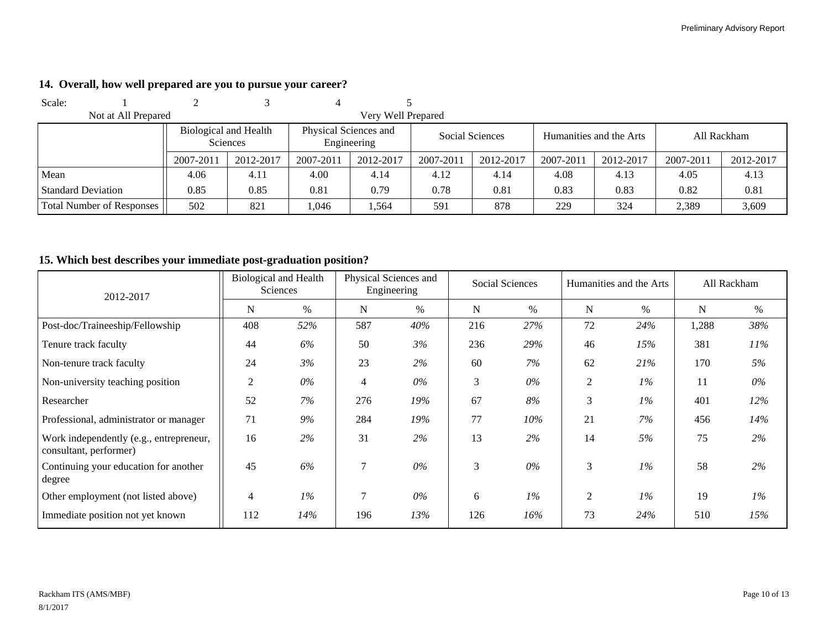| Scale:                           |                       |                 |                       |                    |                        |           |           |                         |             |           |  |
|----------------------------------|-----------------------|-----------------|-----------------------|--------------------|------------------------|-----------|-----------|-------------------------|-------------|-----------|--|
| Not at All Prepared              |                       |                 |                       | Very Well Prepared |                        |           |           |                         |             |           |  |
|                                  | Biological and Health | <b>Sciences</b> | Physical Sciences and | Engineering        | <b>Social Sciences</b> |           |           | Humanities and the Arts | All Rackham |           |  |
|                                  | 2007-2011             | 2012-2017       | 2007-2011             | 2012-2017          | 2007-2011              | 2012-2017 | 2007-2011 | 2012-2017               | 2007-2011   | 2012-2017 |  |
| Mean                             | 4.06                  | 4.11            | 4.00                  | 4.14               | 4.12                   | 4.14      | 4.08      | 4.13                    | 4.05        | 4.13      |  |
| <b>Standard Deviation</b>        | 0.85                  | 0.85            | 0.81                  | 0.79               | 0.78                   | 0.81      | 0.83      | 0.83                    | 0.82        | 0.81      |  |
| <b>Total Number of Responses</b> | 502                   | 821             | .046                  | l.564              | 591                    | 878       | 229       | 324                     | 2,389       | 3,609     |  |

## **14. Overall, how well prepared are you to pursue your career?**

## **15. Which best describes your immediate post-graduation position?**

| 2012-2017                                                         | <b>Biological and Health</b><br>Sciences |       | Physical Sciences and<br>Engineering |       |             | Social Sciences | Humanities and the Arts |       | All Rackham |       |
|-------------------------------------------------------------------|------------------------------------------|-------|--------------------------------------|-------|-------------|-----------------|-------------------------|-------|-------------|-------|
|                                                                   | N                                        | $\%$  | N                                    | $\%$  | $\mathbf N$ | %               | N                       | $\%$  | N           | $\%$  |
| Post-doc/Traineeship/Fellowship                                   | 408                                      | 52%   | 587                                  | 40%   | 216         | 27%             | 72                      | 24%   | 1,288       | 38%   |
| Tenure track faculty                                              | 44                                       | 6%    | 50                                   | 3%    | 236         | 29%             | 46                      | 15%   | 381         | 11%   |
| Non-tenure track faculty                                          | 24                                       | 3%    | 23                                   | 2%    | 60          | 7%              | 62                      | 21%   | 170         | 5%    |
| Non-university teaching position                                  | $\overline{2}$                           | $0\%$ | $\overline{4}$                       | $0\%$ | 3           | $0\%$           | 2                       | $1\%$ | 11          | $0\%$ |
| Researcher                                                        | 52                                       | 7%    | 276                                  | 19%   | 67          | 8%              | 3                       | $1\%$ | 401         | 12%   |
| Professional, administrator or manager                            | 71                                       | 9%    | 284                                  | 19%   | 77          | $10\%$          | 21                      | 7%    | 456         | 14%   |
| Work independently (e.g., entrepreneur,<br>consultant, performer) | 16                                       | 2%    | 31                                   | 2%    | 13          | 2%              | 14                      | 5%    | 75          | 2%    |
| Continuing your education for another<br>degree                   | 45                                       | 6%    | 7                                    | $0\%$ | 3           | $0\%$           | 3                       | $1\%$ | 58          | 2%    |
| Other employment (not listed above)                               | 4                                        | $1\%$ | 7                                    | $0\%$ | 6           | $1\%$           | 2                       | $1\%$ | 19          | $1\%$ |
| Immediate position not yet known                                  | 112                                      | 14%   | 196                                  | 13%   | 126         | 16%             | 73                      | 24%   | 510         | 15%   |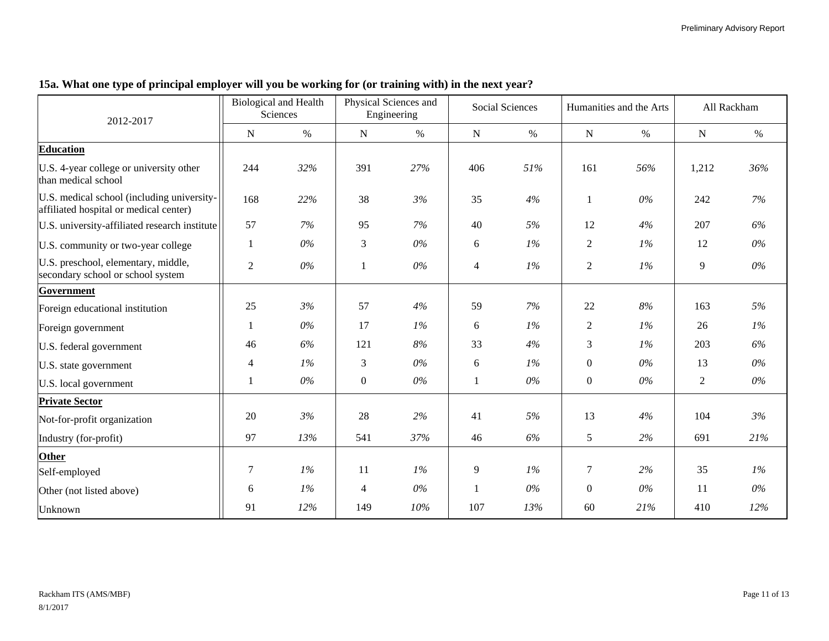| 2012-2017                                                                            |                | <b>Biological and Health</b><br>Sciences |                  | Physical Sciences and<br>Engineering |                | <b>Social Sciences</b> |                | Humanities and the Arts |                | All Rackham |
|--------------------------------------------------------------------------------------|----------------|------------------------------------------|------------------|--------------------------------------|----------------|------------------------|----------------|-------------------------|----------------|-------------|
|                                                                                      | N              | $\%$                                     | N                | $\%$                                 | N              | $\%$                   | ${\bf N}$      | $\%$                    | N              | $\%$        |
| <b>Education</b>                                                                     |                |                                          |                  |                                      |                |                        |                |                         |                |             |
| U.S. 4-year college or university other<br>than medical school                       | 244            | 32%                                      | 391              | 27%                                  | 406            | 51%                    | 161            | 56%                     | 1,212          | 36%         |
| U.S. medical school (including university-<br>affiliated hospital or medical center) | 168            | 22%                                      | 38               | 3%                                   | 35             | 4%                     | 1              | $0\%$                   | 242            | 7%          |
| U.S. university-affiliated research institute                                        | 57             | 7%                                       | 95               | 7%                                   | 40             | 5%                     | 12             | 4%                      | 207            | 6%          |
| U.S. community or two-year college                                                   |                | $0\%$                                    | 3                | $0\%$                                | $6\,$          | $1\%$                  | $\overline{2}$ | 1%                      | 12             | $0\%$       |
| U.S. preschool, elementary, middle,<br>secondary school or school system             | $\overline{c}$ | $0\%$                                    | 1                | $0\%$                                | $\overline{4}$ | $1\%$                  | $\overline{2}$ | $1\%$                   | 9              | $0\%$       |
| Government                                                                           |                |                                          |                  |                                      |                |                        |                |                         |                |             |
| Foreign educational institution                                                      | 25             | 3%                                       | 57               | 4%                                   | 59             | 7%                     | 22             | $8\%$                   | 163            | 5%          |
| Foreign government                                                                   |                | $0\%$                                    | 17               | $1\%$                                | 6              | 1%                     | 2              | $1\%$                   | 26             | 1%          |
| U.S. federal government                                                              | 46             | 6%                                       | 121              | $8\%$                                | 33             | 4%                     | 3              | $1\%$                   | 203            | 6%          |
| U.S. state government                                                                | 4              | $1\%$                                    | 3                | $0\%$                                | $6\,$          | $1\%$                  | $\overline{0}$ | $0\%$                   | 13             | $0\%$       |
| U.S. local government                                                                | 1              | $0\%$                                    | $\boldsymbol{0}$ | $0\%$                                | $\mathbf{1}$   | $0\%$                  | $\overline{0}$ | $0\%$                   | $\overline{2}$ | $0\%$       |
| <b>Private Sector</b>                                                                |                |                                          |                  |                                      |                |                        |                |                         |                |             |
| Not-for-profit organization                                                          | 20             | 3%                                       | 28               | 2%                                   | 41             | 5%                     | 13             | 4%                      | 104            | 3%          |
| Industry (for-profit)                                                                | 97             | 13%                                      | 541              | 37%                                  | 46             | 6%                     | 5 <sup>5</sup> | 2%                      | 691            | 21%         |
| Other                                                                                |                |                                          |                  |                                      |                |                        |                |                         |                |             |
| Self-employed                                                                        | 7              | $1\%$                                    | 11               | 1%                                   | $\overline{9}$ | 1%                     | 7              | 2%                      | 35             | $1\%$       |
| Other (not listed above)                                                             | 6              | 1%                                       | 4                | $0\%$                                |                | $0\%$                  | $\overline{0}$ | $0\%$                   | 11             | $0\%$       |
| Unknown                                                                              | 91             | 12%                                      | 149              | 10%                                  | 107            | 13%                    | 60             | 21%                     | 410            | 12%         |

# **15a. What one type of principal employer will you be working for (or training with) in the next year?**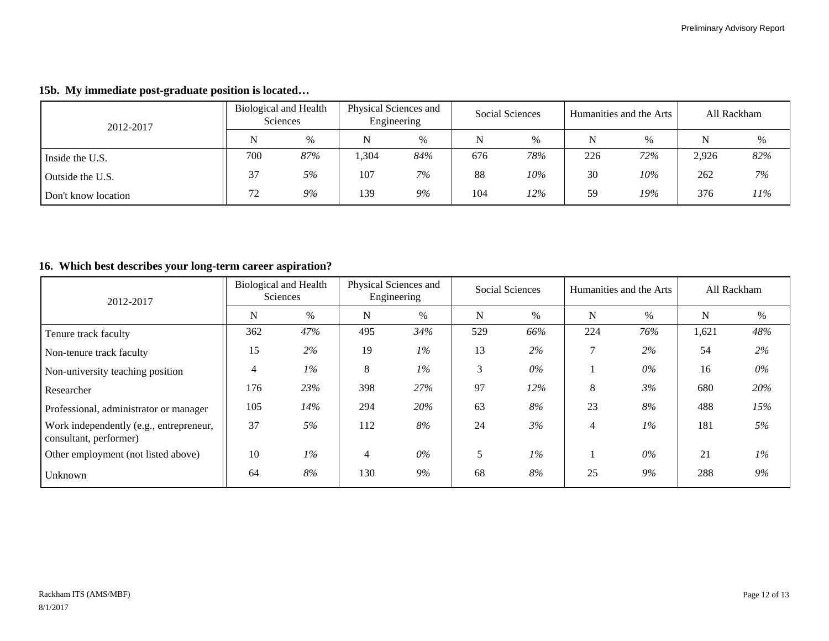|  |  |  | 15b. My immediate post-graduate position is located |  |  |
|--|--|--|-----------------------------------------------------|--|--|
|--|--|--|-----------------------------------------------------|--|--|

| 2012-2017           |     | Biological and Health<br><b>Sciences</b> |     | Physical Sciences and<br>Engineering |     | Social Sciences |     | Humanities and the Arts |       | All Rackham |
|---------------------|-----|------------------------------------------|-----|--------------------------------------|-----|-----------------|-----|-------------------------|-------|-------------|
|                     | N   | $\%$                                     | N   | $\%$                                 | N   | $\%$            | N   | $\%$                    | N     | %           |
| Inside the U.S.     | 700 | 87%                                      | 304 | 84%                                  | 676 | 78%             | 226 | 72%                     | 2,926 | 82%         |
| Outside the U.S.    | 37  | 5%                                       | 107 | 7%                                   | 88  | 10%             | 30  | 10%                     | 262   | 7%          |
| Don't know location | 72  | 9%                                       | 139 | 9%                                   | 104 | 12%             | 59  | 19%                     | 376   | 11%         |

## **16. Which best describes your long-term career aspiration?**

| 2012-2017                                                         | <b>Biological and Health</b><br><b>Sciences</b> |        | Physical Sciences and<br>Engineering |       | Social Sciences |       | Humanities and the Arts |       | All Rackham |       |
|-------------------------------------------------------------------|-------------------------------------------------|--------|--------------------------------------|-------|-----------------|-------|-------------------------|-------|-------------|-------|
|                                                                   | N                                               | %      | N                                    | $\%$  | N               | $\%$  | $\mathbf N$             | $\%$  | N           | $\%$  |
| Tenure track faculty                                              | 362                                             | 47%    | 495                                  | 34%   | 529             | 66%   | 224                     | 76%   | 1,621       | 48%   |
| Non-tenure track faculty                                          | 15                                              | 2%     | 19                                   | $1\%$ | 13              | 2%    |                         | 2%    | 54          | 2%    |
| Non-university teaching position                                  | 4                                               | $1\%$  | 8                                    | $1\%$ | 3               | $0\%$ |                         | $0\%$ | 16          | $0\%$ |
| Researcher                                                        | 176                                             | 23%    | 398                                  | 27%   | 97              | 12%   | 8                       | 3%    | 680         | 20%   |
| Professional, administrator or manager                            | 105                                             | $14\%$ | 294                                  | 20%   | 63              | 8%    | 23                      | 8%    | 488         | 15%   |
| Work independently (e.g., entrepreneur,<br>consultant, performer) | 37                                              | 5%     | 112                                  | 8%    | 24              | 3%    | 4                       | $1\%$ | 181         | 5%    |
| Other employment (not listed above)                               | 10                                              | $1\%$  | $\overline{4}$                       | $0\%$ | 5               | $1\%$ |                         | $0\%$ | 21          | 1%    |
| Unknown                                                           | 64                                              | 8%     | 130                                  | 9%    | 68              | 8%    | 25                      | 9%    | 288         | $9\%$ |